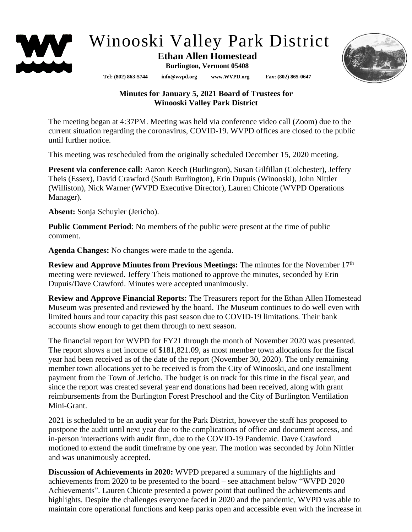

# Winooski Valley Park District

## **Ethan Allen Homestead**

**Burlington, Vermont 05408**

**Tel: (802) 863-5744 info@wvpd.org [www.WVPD.org](http://www.wvpd.org/) Fax: (802) 865-0647** 



### **Minutes for January 5, 2021 Board of Trustees for Winooski Valley Park District**

The meeting began at 4:37PM. Meeting was held via conference video call (Zoom) due to the current situation regarding the coronavirus, COVID-19. WVPD offices are closed to the public until further notice.

This meeting was rescheduled from the originally scheduled December 15, 2020 meeting.

**Present via conference call:** Aaron Keech (Burlington), Susan Gilfillan (Colchester), Jeffery Theis (Essex), David Crawford (South Burlington), Erin Dupuis (Winooski), John Nittler (Williston), Nick Warner (WVPD Executive Director), Lauren Chicote (WVPD Operations Manager).

**Absent:** Sonja Schuyler (Jericho).

**Public Comment Period**: No members of the public were present at the time of public comment.

**Agenda Changes:** No changes were made to the agenda.

**Review and Approve Minutes from Previous Meetings:** The minutes for the November 17<sup>th</sup> meeting were reviewed. Jeffery Theis motioned to approve the minutes, seconded by Erin Dupuis/Dave Crawford. Minutes were accepted unanimously.

**Review and Approve Financial Reports:** The Treasurers report for the Ethan Allen Homestead Museum was presented and reviewed by the board. The Museum continues to do well even with limited hours and tour capacity this past season due to COVID-19 limitations. Their bank accounts show enough to get them through to next season.

The financial report for WVPD for FY21 through the month of November 2020 was presented. The report shows a net income of \$181,821.09, as most member town allocations for the fiscal year had been received as of the date of the report (November 30, 2020). The only remaining member town allocations yet to be received is from the City of Winooski, and one installment payment from the Town of Jericho. The budget is on track for this time in the fiscal year, and since the report was created several year end donations had been received, along with grant reimbursements from the Burlington Forest Preschool and the City of Burlington Ventilation Mini-Grant.

2021 is scheduled to be an audit year for the Park District, however the staff has proposed to postpone the audit until next year due to the complications of office and document access, and in-person interactions with audit firm, due to the COVID-19 Pandemic. Dave Crawford motioned to extend the audit timeframe by one year. The motion was seconded by John Nittler and was unanimously accepted.

**Discussion of Achievements in 2020:** WVPD prepared a summary of the highlights and achievements from 2020 to be presented to the board – see attachment below "WVPD 2020 Achievements". Lauren Chicote presented a power point that outlined the achievements and highlights. Despite the challenges everyone faced in 2020 and the pandemic, WVPD was able to maintain core operational functions and keep parks open and accessible even with the increase in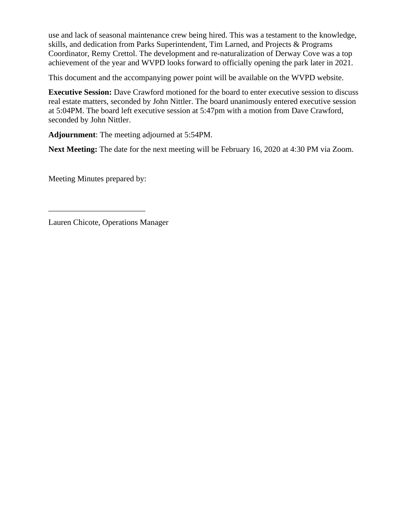use and lack of seasonal maintenance crew being hired. This was a testament to the knowledge, skills, and dedication from Parks Superintendent, Tim Larned, and Projects & Programs Coordinator, Remy Crettol. The development and re-naturalization of Derway Cove was a top achievement of the year and WVPD looks forward to officially opening the park later in 2021.

This document and the accompanying power point will be available on the WVPD website.

**Executive Session:** Dave Crawford motioned for the board to enter executive session to discuss real estate matters, seconded by John Nittler. The board unanimously entered executive session at 5:04PM. The board left executive session at 5:47pm with a motion from Dave Crawford, seconded by John Nittler.

**Adjournment**: The meeting adjourned at 5:54PM.

**Next Meeting:** The date for the next meeting will be February 16, 2020 at 4:30 PM via Zoom.

Meeting Minutes prepared by:

\_\_\_\_\_\_\_\_\_\_\_\_\_\_\_\_\_\_\_\_\_\_\_\_

Lauren Chicote, Operations Manager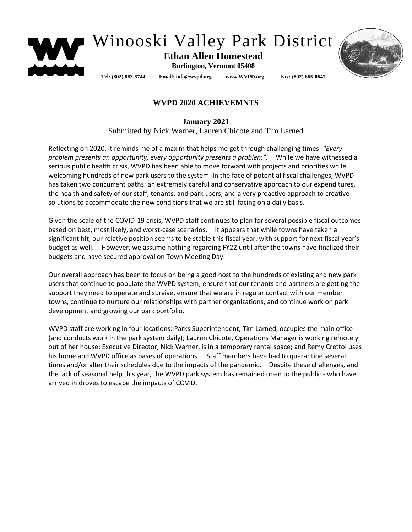

# Winooski Valley Park District

#### **Ethan Allen Homestead Burlington, Vermont 05408**

**Tel: (802) 863-5744 Email: info@wvpd.org [www.WVPD.org](http://www.wvpd.org/) Fax: (802) 865-0647** 

### **WVPD 2020 ACHIEVEMNTS**

**January 2021**

Submitted by Nick Warner, Lauren Chicote and Tim Larned

Reflecting on 2020, it reminds me of a maxim that helps me get through challenging times: *"Every problem presents an opportunity, every opportunity presents a problem".* While we have witnessed a serious public health crisis, WVPD has been able to move forward with projects and priorities while welcoming hundreds of new park users to the system. In the face of potential fiscal challenges, WVPD has taken two concurrent paths: an extremely careful and conservative approach to our expenditures, the health and safety of our staff, tenants, and park users, and a very proactive approach to creative solutions to accommodate the new conditions that we are still facing on a daily basis.

Given the scale of the COVID-19 crisis, WVPD staff continues to plan for several possible fiscal outcomes based on best, most likely, and worst-case scenarios. It appears that while towns have taken a significant hit, our relative position seems to be stable this fiscal year, with support for next fiscal year's budget as well. However, we assume nothing regarding FY22 until after the towns have finalized their budgets and have secured approval on Town Meeting Day.

Our overall approach has been to focus on being a good host to the hundreds of existing and new park users that continue to populate the WVPD system; ensure that our tenants and partners are getting the support they need to operate and survive, ensure that we are in regular contact with our member towns, continue to nurture our relationships with partner organizations, and continue work on park development and growing our park portfolio.

WVPD staff are working in four locations: Parks Superintendent, Tim Larned, occupies the main office (and conducts work in the park system daily); Lauren Chicote, Operations Manager is working remotely out of her house; Executive Director, Nick Warner, is in a temporary rental space; and Remy Crettol uses his home and WVPD office as bases of operations. Staff members have had to quarantine several times and/or alter their schedules due to the impacts of the pandemic. Despite these challenges, and the lack of seasonal help this year, the WVPD park system has remained open to the public - who have arrived in droves to escape the impacts of COVID.

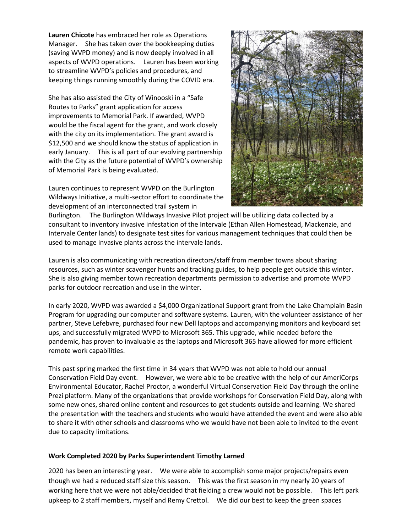**Lauren Chicote** has embraced her role as Operations Manager. She has taken over the bookkeeping duties (saving WVPD money) and is now deeply involved in all aspects of WVPD operations. Lauren has been working to streamline WVPD's policies and procedures, and keeping things running smoothly during the COVID era.

She has also assisted the City of Winooski in a "Safe Routes to Parks" grant application for access improvements to Memorial Park. If awarded, WVPD would be the fiscal agent for the grant, and work closely with the city on its implementation. The grant award is \$12,500 and we should know the status of application in early January. This is all part of our evolving partnership with the City as the future potential of WVPD's ownership of Memorial Park is being evaluated.

Lauren continues to represent WVPD on the Burlington Wildways Initiative, a multi-sector effort to coordinate the development of an interconnected trail system in



Burlington. The Burlington Wildways Invasive Pilot project will be utilizing data collected by a consultant to inventory invasive infestation of the Intervale (Ethan Allen Homestead, Mackenzie, and Intervale Center lands) to designate test sites for various management techniques that could then be used to manage invasive plants across the intervale lands.

Lauren is also communicating with recreation directors/staff from member towns about sharing resources, such as winter scavenger hunts and tracking guides, to help people get outside this winter. She is also giving member town recreation departments permission to advertise and promote WVPD parks for outdoor recreation and use in the winter.

In early 2020, WVPD was awarded a \$4,000 Organizational Support grant from the Lake Champlain Basin Program for upgrading our computer and software systems. Lauren, with the volunteer assistance of her partner, Steve Lefebvre, purchased four new Dell laptops and accompanying monitors and keyboard set ups, and successfully migrated WVPD to Microsoft 365. This upgrade, while needed before the pandemic, has proven to invaluable as the laptops and Microsoft 365 have allowed for more efficient remote work capabilities.

This past spring marked the first time in 34 years that WVPD was not able to hold our annual Conservation Field Day event. However, we were able to be creative with the help of our AmeriCorps Environmental Educator, Rachel Proctor, a wonderful Virtual Conservation Field Day through the online Prezi platform. Many of the organizations that provide workshops for Conservation Field Day, along with some new ones, shared online content and resources to get students outside and learning. We shared the presentation with the teachers and students who would have attended the event and were also able to share it with other schools and classrooms who we would have not been able to invited to the event due to capacity limitations.

#### **Work Completed 2020 by Parks Superintendent Timothy Larned**

2020 has been an interesting year. We were able to accomplish some major projects/repairs even though we had a reduced staff size this season. This was the first season in my nearly 20 years of working here that we were not able/decided that fielding a crew would not be possible. This left park upkeep to 2 staff members, myself and Remy Crettol. We did our best to keep the green spaces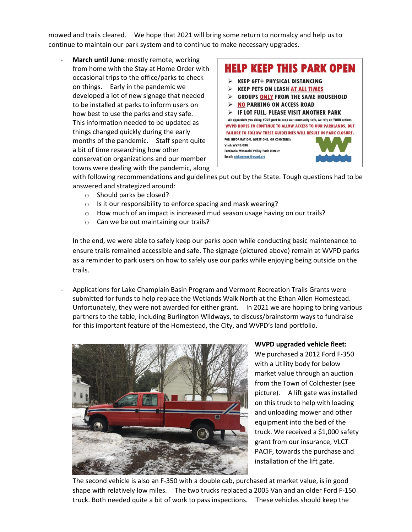mowed and trails cleared. We hope that 2021 will bring some return to normalcy and help us to continue to maintain our park system and to continue to make necessary upgrades.

March until June: mostly remote, working from home with the Stay at Home Order with occasional trips to the office/parks to check on things. Early in the pandemic we developed a lot of new signage that needed to be installed at parks to inform users on how best to use the parks and stay safe. This information needed to be updated as things changed quickly during the early months of the pandemic. Staff spent quite a bit of time researching how other conservation organizations and our member towns were dealing with the pandemic, along



with following recommendations and guidelines put out by the State. Tough questions had to be answered and strategized around:

- o Should parks be closed?
- o Is it our responsibility to enforce spacing and mask wearing?
- o How much of an impact is increased mud season usage having on our trails?
- o Can we be out maintaining our trails?

In the end, we were able to safely keep our parks open while conducting basic maintenance to ensure trails remained accessible and safe. The signage (pictured above) remain at WVPD parks as a reminder to park users on how to safely use our parks while enjoying being outside on the trails.

- Applications for Lake Champlain Basin Program and Vermont Recreation Trails Grants were submitted for funds to help replace the Wetlands Walk North at the Ethan Allen Homestead. Unfortunately, they were not awarded for either grant. In 2021 we are hoping to bring various partners to the table, including Burlington Wildways, to discuss/brainstorm ways to fundraise for this important feature of the Homestead, the City, and WVPD's land portfolio.



**WVPD upgraded vehicle fleet:**

We purchased a 2012 Ford F-350 with a Utility body for below market value through an auction from the Town of Colchester (see picture). A lift gate was installed on this truck to help with loading and unloading mower and other equipment into the bed of the truck. We received a \$1,000 safety grant from our insurance, VLCT PACIF, towards the purchase and installation of the lift gate.

The second vehicle is also an F-350 with a double cab, purchased at market value, is in good shape with relatively low miles. The two trucks replaced a 2005 Van and an older Ford F-150 truck. Both needed quite a bit of work to pass inspections. These vehicles should keep the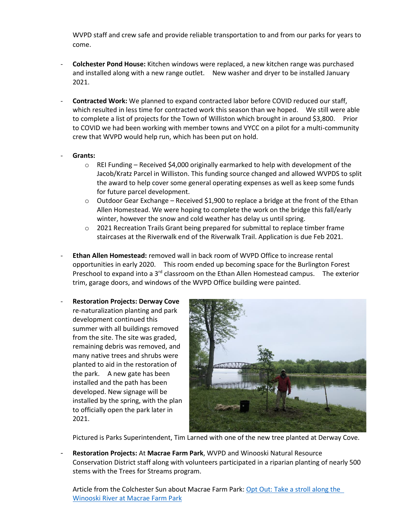WVPD staff and crew safe and provide reliable transportation to and from our parks for years to come.

- **Colchester Pond House:** Kitchen windows were replaced, a new kitchen range was purchased and installed along with a new range outlet. New washer and dryer to be installed January 2021.
- **Contracted Work:** We planned to expand contracted labor before COVID reduced our staff, which resulted in less time for contracted work this season than we hoped. We still were able to complete a list of projects for the Town of Williston which brought in around \$3,800. Prior to COVID we had been working with member towns and VYCC on a pilot for a multi-community crew that WVPD would help run, which has been put on hold.
- **Grants:** 
	- o REI Funding Received \$4,000 originally earmarked to help with development of the Jacob/Kratz Parcel in Williston. This funding source changed and allowed WVPDS to split the award to help cover some general operating expenses as well as keep some funds for future parcel development.
	- $\circ$  Outdoor Gear Exchange Received \$1,900 to replace a bridge at the front of the Ethan Allen Homestead. We were hoping to complete the work on the bridge this fall/early winter, however the snow and cold weather has delay us until spring.
	- $\circ$  2021 Recreation Trails Grant being prepared for submittal to replace timber frame staircases at the Riverwalk end of the Riverwalk Trail. Application is due Feb 2021.
- **Ethan Allen Homestead:** removed wall in back room of WVPD Office to increase rental opportunities in early 2020. This room ended up becoming space for the Burlington Forest Preschool to expand into a 3<sup>rd</sup> classroom on the Ethan Allen Homestead campus. The exterior trim, garage doors, and windows of the WVPD Office building were painted.
- **Restoration Projects: Derway Cove** re-naturalization planting and park development continued this summer with all buildings removed from the site. The site was graded, remaining debris was removed, and many native trees and shrubs were planted to aid in the restoration of the park. A new gate has been installed and the path has been developed. New signage will be installed by the spring, with the plan to officially open the park later in 2021.



Pictured is Parks Superintendent, Tim Larned with one of the new tree planted at Derway Cove.

- **Restoration Projects:** At **Macrae Farm Park**, WVPD and Winooski Natural Resource Conservation District staff along with volunteers participated in a riparian planting of nearly 500 stems with the Trees for Streams program.

Article from the Colchester Sun about Macrae Farm Park: [Opt Out: Take a stroll along the](https://www.colchestersun.com/news/opt-out-take-a-stroll-along-the-winooski-river-at-macrae-farm-park/article_a2958dcf-80ba-5372-bab7-c481bcce5ea0.html?fbclid=IwAR1dqwXw3dPLY2Muv7fo5oac1DQW-gdsXwwcz9qidsz9SHFyTqyNv6_N2NI)  [Winooski River at Macrae Farm Park](https://www.colchestersun.com/news/opt-out-take-a-stroll-along-the-winooski-river-at-macrae-farm-park/article_a2958dcf-80ba-5372-bab7-c481bcce5ea0.html?fbclid=IwAR1dqwXw3dPLY2Muv7fo5oac1DQW-gdsXwwcz9qidsz9SHFyTqyNv6_N2NI)